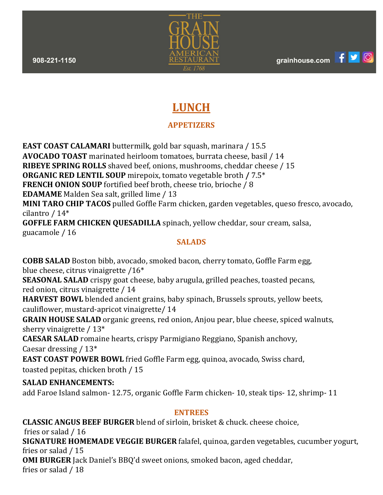$\bullet$ 



# **LUNCH**

## **APPETIZERS**

**EAST COAST CALAMARI** buttermilk, gold bar squash, marinara / 15.5 **AVOCADO TOAST** marinated heirloom tomatoes, burrata cheese, basil / 14 **RIBEYE SPRING ROLLS** shaved beef, onions, mushrooms, cheddar cheese / 15 **ORGANIC RED LENTIL SOUP** mirepoix, tomato vegetable broth **/** 7.5\* **FRENCH ONION SOUP** fortified beef broth, cheese trio, brioche / 8 **EDAMAME** Malden Sea salt, grilled lime / 13 **MINI TARO CHIP TACOS** pulled Goffle Farm chicken, garden vegetables, queso fresco, avocado, cilantro / 14\* **GOFFLE FARM CHICKEN QUESADILLA** spinach, yellow cheddar, sour cream, salsa,

guacamole / 16

## **SALADS**

**COBB SALAD** Boston bibb, avocado, smoked bacon, cherry tomato, Goffle Farm egg, blue cheese, citrus vinaigrette /16\*

**SEASONAL SALAD** crispy goat cheese, baby arugula, grilled peaches, toasted pecans, red onion, citrus vinaigrette / 14

**HARVEST BOWL** blended ancient grains, baby spinach, Brussels sprouts, yellow beets, cauliflower, mustard-apricot vinaigrette/ 14

**GRAIN HOUSE SALAD** organic greens, red onion, Anjou pear, blue cheese, spiced walnuts, sherry vinaigrette / 13\*

**CAESAR SALAD** romaine hearts, crispy Parmigiano Reggiano, Spanish anchovy, Caesar dressing / 13\*

**EAST COAST POWER BOWL** fried Goffle Farm egg, quinoa, avocado, Swiss chard, toasted pepitas, chicken broth / 15

## **SALAD ENHANCEMENTS:**

add Faroe Island salmon- 12.75, organic Goffle Farm chicken- 10, steak tips- 12, shrimp- 11

#### **ENTREES**

**CLASSIC ANGUS BEEF BURGER** blend of sirloin, brisket & chuck. cheese choice,

fries or salad / 16 **SIGNATURE HOMEMADE VEGGIE BURGER** falafel, quinoa, garden vegetables, cucumber yogurt, fries or salad / 15

**OMI BURGER** Jack Daniel's BBQ'd sweet onions, smoked bacon, aged cheddar, fries or salad / 18